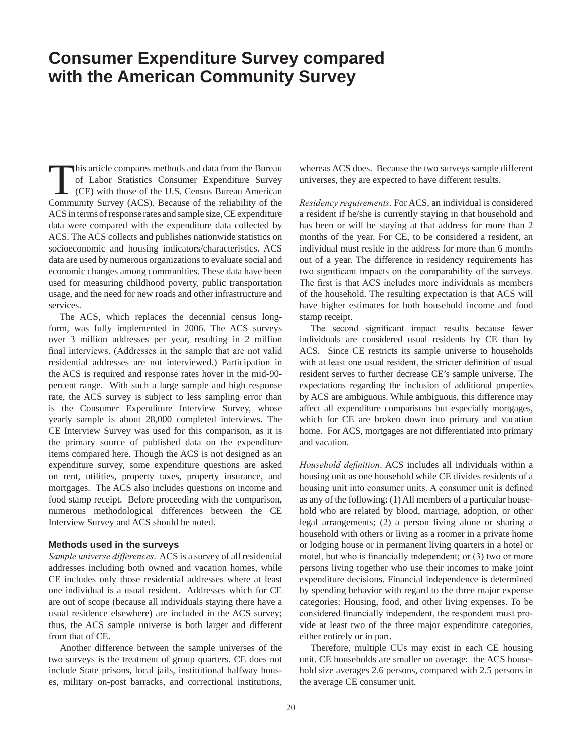## **Consumer Expenditure Survey compared with the American Community Survey**

This article compares methods and data from the Bureau<br>of Labor Statistics Consumer Expenditure Survey<br>(CE) with those of the U.S. Census Bureau American<br>Community Survey (ACS) Because of the reliability of the of Labor Statistics Consumer Expenditure Survey (CE) with those of the U.S. Census Bureau American Community Survey (ACS). Because of the reliability of the ACS in terms of response rates and sample size, CE expenditure data were compared with the expenditure data collected by ACS. The ACS collects and publishes nationwide statistics on socioeconomic and housing indicators/characteristics. ACS data are used by numerous organizations to evaluate social and economic changes among communities. These data have been used for measuring childhood poverty, public transportation usage, and the need for new roads and other infrastructure and services.

The ACS, which replaces the decennial census longform, was fully implemented in 2006. The ACS surveys over 3 million addresses per year, resulting in 2 million final interviews. (Addresses in the sample that are not valid residential addresses are not interviewed.) Participation in the ACS is required and response rates hover in the mid-90 percent range. With such a large sample and high response rate, the ACS survey is subject to less sampling error than is the Consumer Expenditure Interview Survey, whose yearly sample is about 28,000 completed interviews. The CE Interview Survey was used for this comparison, as it is the primary source of published data on the expenditure items compared here. Though the ACS is not designed as an expenditure survey, some expenditure questions are asked on rent, utilities, property taxes, property insurance, and mortgages. The ACS also includes questions on income and food stamp receipt. Before proceeding with the comparison, numerous methodological differences between the CE Interview Survey and ACS should be noted.

## **Methods used in the surveys**

*Sample universe differences*. ACS is a survey of all residential addresses including both owned and vacation homes, while CE includes only those residential addresses where at least one individual is a usual resident. Addresses which for CE are out of scope (because all individuals staying there have a usual residence elsewhere) are included in the ACS survey; thus, the ACS sample universe is both larger and different from that of CE.

Another difference between the sample universes of the two surveys is the treatment of group quarters. CE does not include State prisons, local jails, institutional halfway houses, military on-post barracks, and correctional institutions, whereas ACS does. Because the two surveys sample different universes, they are expected to have different results.

*Residency requirements*. For ACS, an individual is considered a resident if he/she is currently staying in that household and has been or will be staying at that address for more than 2 months of the year. For CE, to be considered a resident, an individual must reside in the address for more than 6 months out of a year. The difference in residency requirements has two significant impacts on the comparability of the surveys. The first is that ACS includes more individuals as members of the household. The resulting expectation is that ACS will have higher estimates for both household income and food stamp receipt.

The second significant impact results because fewer individuals are considered usual residents by CE than by ACS. Since CE restricts its sample universe to households with at least one usual resident, the stricter definition of usual resident serves to further decrease CE's sample universe. The expectations regarding the inclusion of additional properties by ACS are ambiguous. While ambiguous, this difference may affect all expenditure comparisons but especially mortgages, which for CE are broken down into primary and vacation home. For ACS, mortgages are not differentiated into primary and vacation.

*Household definition*. ACS includes all individuals within a housing unit as one household while CE divides residents of a housing unit into consumer units. A consumer unit is defined as any of the following: (1) All members of a particular household who are related by blood, marriage, adoption, or other legal arrangements; (2) a person living alone or sharing a household with others or living as a roomer in a private home or lodging house or in permanent living quarters in a hotel or motel, but who is financially independent; or (3) two or more persons living together who use their incomes to make joint expenditure decisions. Financial independence is determined by spending behavior with regard to the three major expense categories: Housing, food, and other living expenses. To be considered financially independent, the respondent must provide at least two of the three major expenditure categories, either entirely or in part.

Therefore, multiple CUs may exist in each CE housing unit. CE households are smaller on average: the ACS household size averages 2.6 persons, compared with 2.5 persons in the average CE consumer unit.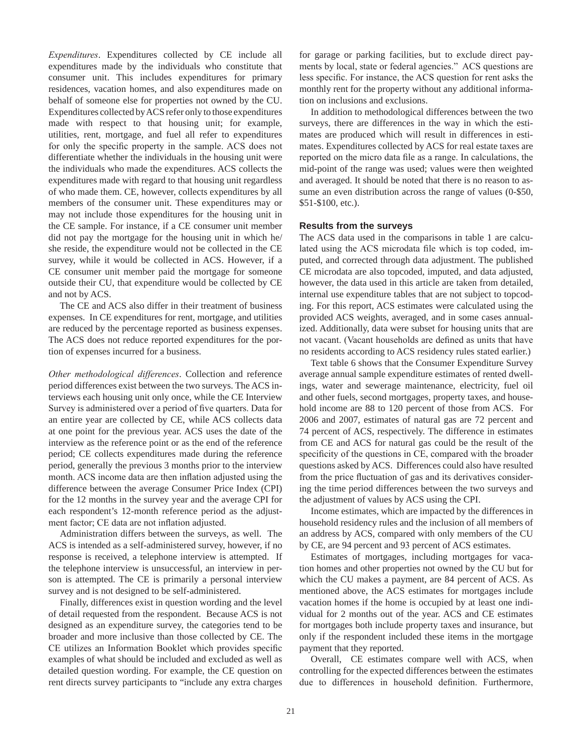*Expenditures*. Expenditures collected by CE include all expenditures made by the individuals who constitute that consumer unit. This includes expenditures for primary residences, vacation homes, and also expenditures made on behalf of someone else for properties not owned by the CU. Expenditures collected by ACS refer only to those expenditures made with respect to that housing unit; for example, utilities, rent, mortgage, and fuel all refer to expenditures for only the specific property in the sample. ACS does not differentiate whether the individuals in the housing unit were the individuals who made the expenditures. ACS collects the expenditures made with regard to that housing unit regardless of who made them. CE, however, collects expenditures by all members of the consumer unit. These expenditures may or may not include those expenditures for the housing unit in the CE sample. For instance, if a CE consumer unit member did not pay the mortgage for the housing unit in which he/ she reside, the expenditure would not be collected in the CE survey, while it would be collected in ACS. However, if a CE consumer unit member paid the mortgage for someone outside their CU, that expenditure would be collected by CE and not by ACS.

The CE and ACS also differ in their treatment of business expenses. In CE expenditures for rent, mortgage, and utilities are reduced by the percentage reported as business expenses. The ACS does not reduce reported expenditures for the portion of expenses incurred for a business.

*Other methodological differences*. Collection and reference period differences exist between the two surveys. The ACS interviews each housing unit only once, while the CE Interview Survey is administered over a period of five quarters. Data for an entire year are collected by CE, while ACS collects data at one point for the previous year. ACS uses the date of the interview as the reference point or as the end of the reference period; CE collects expenditures made during the reference period, generally the previous 3 months prior to the interview month. ACS income data are then inflation adjusted using the difference between the average Consumer Price Index (CPI) for the 12 months in the survey year and the average CPI for each respondent's 12-month reference period as the adjustment factor; CE data are not inflation adjusted.

Administration differs between the surveys, as well. The ACS is intended as a self-administered survey, however, if no response is received, a telephone interview is attempted. If the telephone interview is unsuccessful, an interview in person is attempted. The CE is primarily a personal interview survey and is not designed to be self-administered.

Finally, differences exist in question wording and the level of detail requested from the respondent. Because ACS is not designed as an expenditure survey, the categories tend to be broader and more inclusive than those collected by CE. The CE utilizes an Information Booklet which provides specific examples of what should be included and excluded as well as detailed question wording. For example, the CE question on rent directs survey participants to "include any extra charges for garage or parking facilities, but to exclude direct payments by local, state or federal agencies." ACS questions are less specific. For instance, the ACS question for rent asks the monthly rent for the property without any additional information on inclusions and exclusions.

In addition to methodological differences between the two surveys, there are differences in the way in which the estimates are produced which will result in differences in estimates. Expenditures collected by ACS for real estate taxes are reported on the micro data file as a range. In calculations, the mid-point of the range was used; values were then weighted and averaged. It should be noted that there is no reason to assume an even distribution across the range of values (0-\$50, \$51-\$100, etc.).

## **Results from the surveys**

The ACS data used in the comparisons in table 1 are calculated using the ACS microdata file which is top coded, imputed, and corrected through data adjustment. The published CE microdata are also topcoded, imputed, and data adjusted, however, the data used in this article are taken from detailed, internal use expenditure tables that are not subject to topcoding. For this report, ACS estimates were calculated using the provided ACS weights, averaged, and in some cases annualized. Additionally, data were subset for housing units that are not vacant. (Vacant households are defined as units that have no residents according to ACS residency rules stated earlier.)

Text table 6 shows that the Consumer Expenditure Survey average annual sample expenditure estimates of rented dwellings, water and sewerage maintenance, electricity, fuel oil and other fuels, second mortgages, property taxes, and household income are 88 to 120 percent of those from ACS. For 2006 and 2007, estimates of natural gas are 72 percent and 74 percent of ACS, respectively. The difference in estimates from CE and ACS for natural gas could be the result of the specificity of the questions in CE, compared with the broader questions asked by ACS. Differences could also have resulted from the price fluctuation of gas and its derivatives considering the time period differences between the two surveys and the adjustment of values by ACS using the CPI.

Income estimates, which are impacted by the differences in household residency rules and the inclusion of all members of an address by ACS, compared with only members of the CU by CE, are 94 percent and 93 percent of ACS estimates.

Estimates of mortgages, including mortgages for vacation homes and other properties not owned by the CU but for which the CU makes a payment, are 84 percent of ACS. As mentioned above, the ACS estimates for mortgages include vacation homes if the home is occupied by at least one individual for 2 months out of the year. ACS and CE estimates for mortgages both include property taxes and insurance, but only if the respondent included these items in the mortgage payment that they reported.

Overall, CE estimates compare well with ACS, when controlling for the expected differences between the estimates due to differences in household definition. Furthermore,